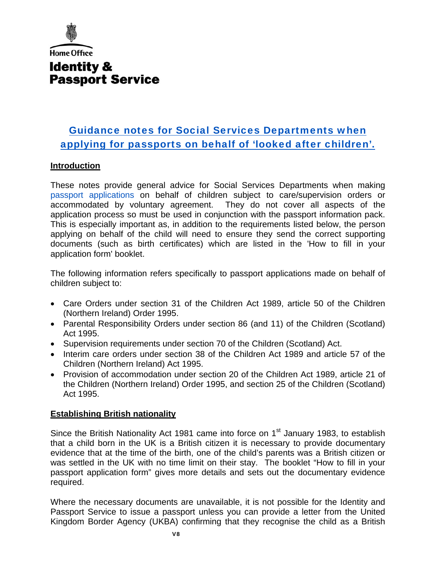

# Guidance notes for Social Services Departments when [applying for passports on behalf of 'looked after children'.](https://deedpolloffice.com/change-name/who-to-tell/passport/applying-looked-after-children)

## **Introduction**

These notes provide general advice for Social Services Departments when making [passport applications](https://deedpolloffice.com/change-name/who-to-tell/passport) on behalf of children subject to care/supervision orders or accommodated by voluntary agreement. They do not cover all aspects of the application process so must be used in conjunction with the passport information pack. This is especially important as, in addition to the requirements listed below, the person applying on behalf of the child will need to ensure they send the correct supporting documents (such as birth certificates) which are listed in the 'How to fill in your application form' booklet.

The following information refers specifically to passport applications made on behalf of children subject to:

- Care Orders under section 31 of the Children Act 1989, article 50 of the Children (Northern Ireland) Order 1995.
- Parental Responsibility Orders under section 86 (and 11) of the Children (Scotland) Act 1995.
- Supervision requirements under section 70 of the Children (Scotland) Act.
- Interim care orders under section 38 of the Children Act 1989 and article 57 of the Children (Northern Ireland) Act 1995.
- Provision of accommodation under section 20 of the Children Act 1989, article 21 of the Children (Northern Ireland) Order 1995, and section 25 of the Children (Scotland) Act 1995.

# **Establishing British nationality**

Since the British Nationality Act 1981 came into force on 1<sup>st</sup> January 1983, to establish that a child born in the UK is a British citizen it is necessary to provide documentary evidence that at the time of the birth, one of the child's parents was a British citizen or was settled in the UK with no time limit on their stay. The booklet "How to fill in your passport application form" gives more details and sets out the documentary evidence required.

Where the necessary documents are unavailable, it is not possible for the Identity and Passport Service to issue a passport unless you can provide a letter from the United Kingdom Border Agency (UKBA) confirming that they recognise the child as a British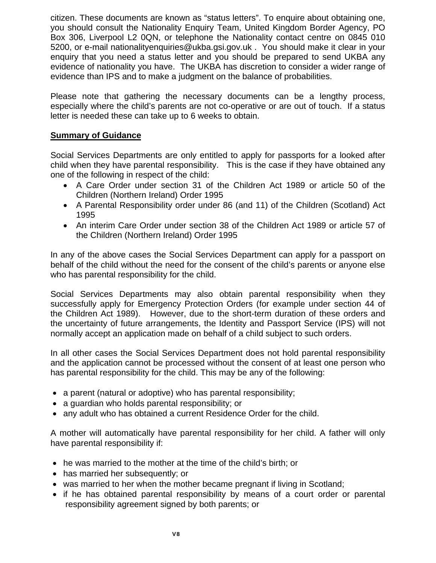citizen. These documents are known as "status letters". To enquire about obtaining one, you should consult the Nationality Enquiry Team, United Kingdom Border Agency, PO Box 306, Liverpool L2 0QN, or telephone the Nationality contact centre on 0845 010 5200, or e-mail nationalityenquiries@ukba.gsi.gov.uk . You should make it clear in your enquiry that you need a status letter and you should be prepared to send UKBA any evidence of nationality you have. The UKBA has discretion to consider a wider range of evidence than IPS and to make a judgment on the balance of probabilities.

Please note that gathering the necessary documents can be a lengthy process, especially where the child's parents are not co-operative or are out of touch. If a status letter is needed these can take up to 6 weeks to obtain.

## **Summary of Guidance**

Social Services Departments are only entitled to apply for passports for a looked after child when they have parental responsibility. This is the case if they have obtained any one of the following in respect of the child:

- A Care Order under section 31 of the Children Act 1989 or article 50 of the Children (Northern Ireland) Order 1995
- A Parental Responsibility order under 86 (and 11) of the Children (Scotland) Act 1995
- An interim Care Order under section 38 of the Children Act 1989 or article 57 of the Children (Northern Ireland) Order 1995

In any of the above cases the Social Services Department can apply for a passport on behalf of the child without the need for the consent of the child's parents or anyone else who has parental responsibility for the child.

Social Services Departments may also obtain parental responsibility when they successfully apply for Emergency Protection Orders (for example under section 44 of the Children Act 1989). However, due to the short-term duration of these orders and the uncertainty of future arrangements, the Identity and Passport Service (IPS) will not normally accept an application made on behalf of a child subject to such orders.

In all other cases the Social Services Department does not hold parental responsibility and the application cannot be processed without the consent of at least one person who has parental responsibility for the child. This may be any of the following:

- a parent (natural or adoptive) who has parental responsibility;
- a guardian who holds parental responsibility; or
- any adult who has obtained a current Residence Order for the child.

A mother will automatically have parental responsibility for her child. A father will only have parental responsibility if:

- he was married to the mother at the time of the child's birth; or
- has married her subsequently; or
- was married to her when the mother became pregnant if living in Scotland;
- if he has obtained parental responsibility by means of a court order or parental responsibility agreement signed by both parents; or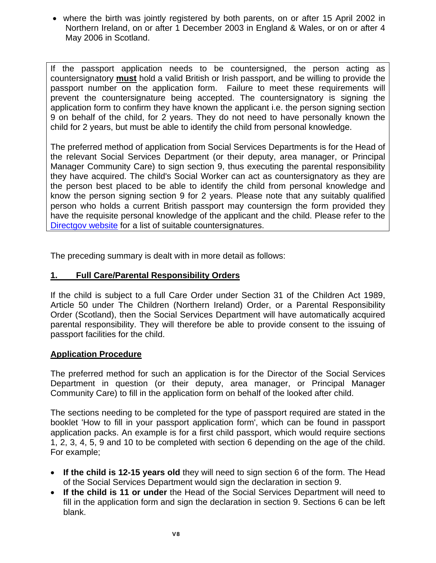• where the birth was jointly registered by both parents, on or after 15 April 2002 in Northern Ireland, on or after 1 December 2003 in England & Wales, or on or after 4 May 2006 in Scotland.

If the passport application needs to be countersigned, the person acting as countersignatory **must** hold a valid British or Irish passport, and be willing to provide the passport number on the application form. Failure to meet these requirements will prevent the countersignature being accepted. The countersignatory is signing the application form to confirm they have known the applicant i.e. the person signing section 9 on behalf of the child, for 2 years. They do not need to have personally known the child for 2 years, but must be able to identify the child from personal knowledge.

The preferred method of application from Social Services Departments is for the Head of the relevant Social Services Department (or their deputy, area manager, or Principal Manager Community Care) to sign section 9, thus executing the parental responsibility they have acquired. The child's Social Worker can act as countersignatory as they are the person best placed to be able to identify the child from personal knowledge and know the person signing section 9 for 2 years. Please note that any suitably qualified person who holds a current British passport may countersign the form provided they have the requisite personal knowledge of the applicant and the child. Please refer to the [Directgov website](http://www.direct.gov.uk/en/TravelAndTransport/Passports/Applicationinformation/DG_174151) for a list of suitable countersignatures.

The preceding summary is dealt with in more detail as follows:

# **1. Full Care/Parental Responsibility Orders**

If the child is subject to a full Care Order under Section 31 of the Children Act 1989, Article 50 under The Children (Northern Ireland) Order, or a Parental Responsibility Order (Scotland), then the Social Services Department will have automatically acquired parental responsibility. They will therefore be able to provide consent to the issuing of passport facilities for the child.

## **Application Procedure**

The preferred method for such an application is for the Director of the Social Services Department in question (or their deputy, area manager, or Principal Manager Community Care) to fill in the application form on behalf of the looked after child.

The sections needing to be completed for the type of passport required are stated in the booklet 'How to fill in your passport application form', which can be found in passport application packs. An example is for a first child passport, which would require sections 1, 2, 3, 4, 5, 9 and 10 to be completed with section 6 depending on the age of the child. For example;

- **If the child is 12-15 years old** they will need to sign section 6 of the form. The Head of the Social Services Department would sign the declaration in section 9.
- **If the child is 11 or under** the Head of the Social Services Department will need to fill in the application form and sign the declaration in section 9. Sections 6 can be left blank.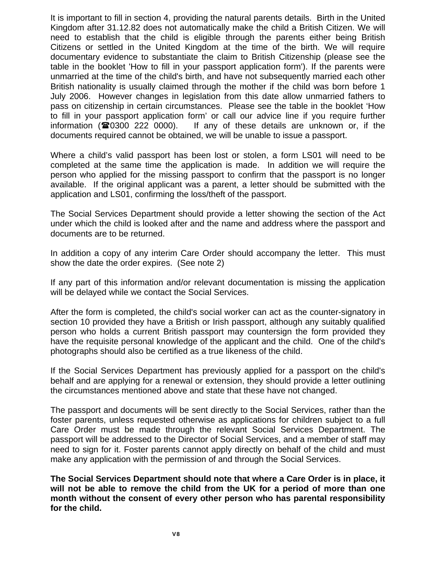It is important to fill in section 4, providing the natural parents details. Birth in the United Kingdom after 31.12.82 does not automatically make the child a British Citizen. We will need to establish that the child is eligible through the parents either being British Citizens or settled in the United Kingdom at the time of the birth. We will require documentary evidence to substantiate the claim to British Citizenship (please see the table in the booklet 'How to fill in your passport application form'). If the parents were unmarried at the time of the child's birth, and have not subsequently married each other British nationality is usually claimed through the mother if the child was born before 1 July 2006. However changes in legislation from this date allow unmarried fathers to pass on citizenship in certain circumstances. Please see the table in the booklet 'How to fill in your passport application form' or call our advice line if you require further information ( $\approx 0300$  222 0000). If any of these details are unknown or, if the documents required cannot be obtained, we will be unable to issue a passport.

Where a child's valid passport has been lost or stolen, a form LS01 will need to be completed at the same time the application is made. In addition we will require the person who applied for the missing passport to confirm that the passport is no longer available. If the original applicant was a parent, a letter should be submitted with the application and LS01, confirming the loss/theft of the passport.

The Social Services Department should provide a letter showing the section of the Act under which the child is looked after and the name and address where the passport and documents are to be returned.

In addition a copy of any interim Care Order should accompany the letter. This must show the date the order expires. (See note 2)

If any part of this information and/or relevant documentation is missing the application will be delayed while we contact the Social Services.

After the form is completed, the child's social worker can act as the counter-signatory in section 10 provided they have a British or Irish passport, although any suitably qualified person who holds a current British passport may countersign the form provided they have the requisite personal knowledge of the applicant and the child. One of the child's photographs should also be certified as a true likeness of the child.

If the Social Services Department has previously applied for a passport on the child's behalf and are applying for a renewal or extension, they should provide a letter outlining the circumstances mentioned above and state that these have not changed.

The passport and documents will be sent directly to the Social Services, rather than the foster parents, unless requested otherwise as applications for children subject to a full Care Order must be made through the relevant Social Services Department. The passport will be addressed to the Director of Social Services, and a member of staff may need to sign for it. Foster parents cannot apply directly on behalf of the child and must make any application with the permission of and through the Social Services.

**The Social Services Department should note that where a Care Order is in place, it will not be able to remove the child from the UK for a period of more than one month without the consent of every other person who has parental responsibility for the child.**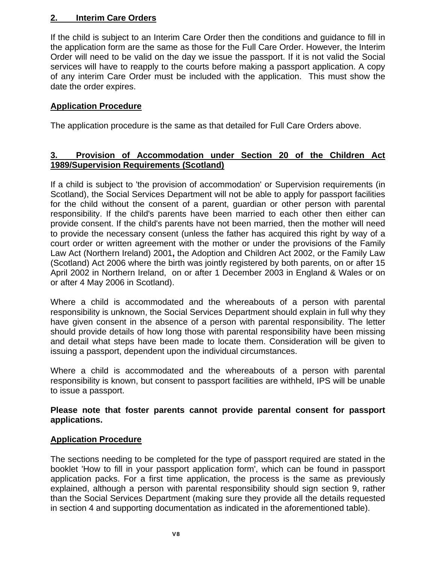# **2. Interim Care Orders**

If the child is subject to an Interim Care Order then the conditions and guidance to fill in the application form are the same as those for the Full Care Order. However, the Interim Order will need to be valid on the day we issue the passport. If it is not valid the Social services will have to reapply to the courts before making a passport application. A copy of any interim Care Order must be included with the application. This must show the date the order expires.

## **Application Procedure**

The application procedure is the same as that detailed for Full Care Orders above.

# **3. Provision of Accommodation under Section 20 of the Children Act 1989/Supervision Requirements (Scotland)**

If a child is subject to 'the provision of accommodation' or Supervision requirements (in Scotland), the Social Services Department will not be able to apply for passport facilities for the child without the consent of a parent, guardian or other person with parental responsibility. If the child's parents have been married to each other then either can provide consent. If the child's parents have not been married, then the mother will need to provide the necessary consent (unless the father has acquired this right by way of a court order or written agreement with the mother or under the provisions of the Family Law Act (Northern Ireland) 2001**,** the Adoption and Children Act 2002, or the Family Law (Scotland) Act 2006 where the birth was jointly registered by both parents, on or after 15 April 2002 in Northern Ireland, on or after 1 December 2003 in England & Wales or on or after 4 May 2006 in Scotland).

Where a child is accommodated and the whereabouts of a person with parental responsibility is unknown, the Social Services Department should explain in full why they have given consent in the absence of a person with parental responsibility. The letter should provide details of how long those with parental responsibility have been missing and detail what steps have been made to locate them. Consideration will be given to issuing a passport, dependent upon the individual circumstances.

Where a child is accommodated and the whereabouts of a person with parental responsibility is known, but consent to passport facilities are withheld, IPS will be unable to issue a passport.

## **Please note that foster parents cannot provide parental consent for passport applications.**

## **Application Procedure**

The sections needing to be completed for the type of passport required are stated in the booklet 'How to fill in your passport application form', which can be found in passport application packs. For a first time application, the process is the same as previously explained, although a person with parental responsibility should sign section 9, rather than the Social Services Department (making sure they provide all the details requested in section 4 and supporting documentation as indicated in the aforementioned table).